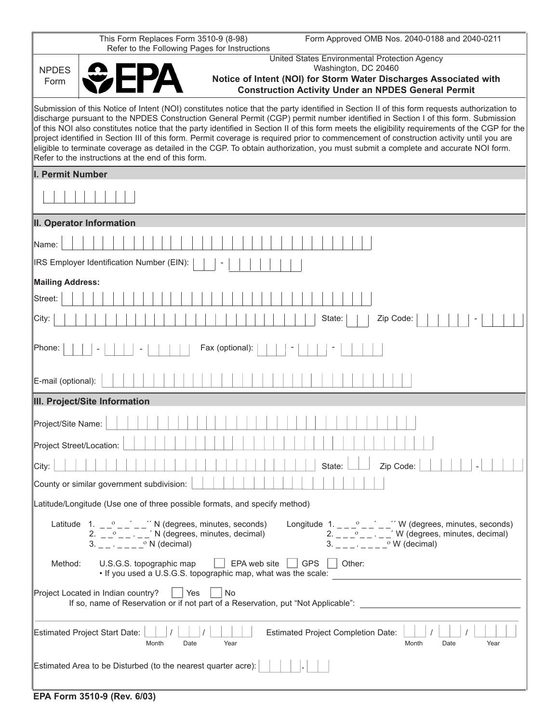|                                                                                                                                                                                                                                                                                                                                                                                                                                                                                                                                                                                                                                                                                                                                                                          | This Form Replaces Form 3510-9 (8-98)<br>Form Approved OMB Nos. 2040-0188 and 2040-0211<br>Refer to the Following Pages for Instructions                                                                                                                                                                                             |  |
|--------------------------------------------------------------------------------------------------------------------------------------------------------------------------------------------------------------------------------------------------------------------------------------------------------------------------------------------------------------------------------------------------------------------------------------------------------------------------------------------------------------------------------------------------------------------------------------------------------------------------------------------------------------------------------------------------------------------------------------------------------------------------|--------------------------------------------------------------------------------------------------------------------------------------------------------------------------------------------------------------------------------------------------------------------------------------------------------------------------------------|--|
|                                                                                                                                                                                                                                                                                                                                                                                                                                                                                                                                                                                                                                                                                                                                                                          | United States Environmental Protection Agency<br>Washington, DC 20460                                                                                                                                                                                                                                                                |  |
| <b>NPDES</b><br>Form                                                                                                                                                                                                                                                                                                                                                                                                                                                                                                                                                                                                                                                                                                                                                     | Notice of Intent (NOI) for Storm Water Discharges Associated with                                                                                                                                                                                                                                                                    |  |
|                                                                                                                                                                                                                                                                                                                                                                                                                                                                                                                                                                                                                                                                                                                                                                          | <b>Construction Activity Under an NPDES General Permit</b>                                                                                                                                                                                                                                                                           |  |
| Submission of this Notice of Intent (NOI) constitutes notice that the party identified in Section II of this form requests authorization to<br>discharge pursuant to the NPDES Construction General Permit (CGP) permit number identified in Section I of this form. Submission<br>of this NOI also constitutes notice that the party identified in Section II of this form meets the eligibility requirements of the CGP for the<br>project identified in Section III of this form. Permit coverage is required prior to commencement of construction activity until you are<br>eligible to terminate coverage as detailed in the CGP. To obtain authorization, you must submit a complete and accurate NOI form.<br>Refer to the instructions at the end of this form. |                                                                                                                                                                                                                                                                                                                                      |  |
| I. Permit Number                                                                                                                                                                                                                                                                                                                                                                                                                                                                                                                                                                                                                                                                                                                                                         |                                                                                                                                                                                                                                                                                                                                      |  |
|                                                                                                                                                                                                                                                                                                                                                                                                                                                                                                                                                                                                                                                                                                                                                                          |                                                                                                                                                                                                                                                                                                                                      |  |
|                                                                                                                                                                                                                                                                                                                                                                                                                                                                                                                                                                                                                                                                                                                                                                          | II. Operator Information                                                                                                                                                                                                                                                                                                             |  |
| Name:                                                                                                                                                                                                                                                                                                                                                                                                                                                                                                                                                                                                                                                                                                                                                                    |                                                                                                                                                                                                                                                                                                                                      |  |
|                                                                                                                                                                                                                                                                                                                                                                                                                                                                                                                                                                                                                                                                                                                                                                          | IRS Employer Identification Number (EIN):                                                                                                                                                                                                                                                                                            |  |
| <b>Mailing Address:</b>                                                                                                                                                                                                                                                                                                                                                                                                                                                                                                                                                                                                                                                                                                                                                  |                                                                                                                                                                                                                                                                                                                                      |  |
| Street:                                                                                                                                                                                                                                                                                                                                                                                                                                                                                                                                                                                                                                                                                                                                                                  |                                                                                                                                                                                                                                                                                                                                      |  |
| City:                                                                                                                                                                                                                                                                                                                                                                                                                                                                                                                                                                                                                                                                                                                                                                    | State:<br>Zip Code:                                                                                                                                                                                                                                                                                                                  |  |
| ∥Phone:                                                                                                                                                                                                                                                                                                                                                                                                                                                                                                                                                                                                                                                                                                                                                                  | Fax (optional):                                                                                                                                                                                                                                                                                                                      |  |
| E-mail (optional):                                                                                                                                                                                                                                                                                                                                                                                                                                                                                                                                                                                                                                                                                                                                                       |                                                                                                                                                                                                                                                                                                                                      |  |
| III. Project/Site Information                                                                                                                                                                                                                                                                                                                                                                                                                                                                                                                                                                                                                                                                                                                                            |                                                                                                                                                                                                                                                                                                                                      |  |
| Project/Site Name:                                                                                                                                                                                                                                                                                                                                                                                                                                                                                                                                                                                                                                                                                                                                                       |                                                                                                                                                                                                                                                                                                                                      |  |
| Project Street/Location:                                                                                                                                                                                                                                                                                                                                                                                                                                                                                                                                                                                                                                                                                                                                                 |                                                                                                                                                                                                                                                                                                                                      |  |
| City:                                                                                                                                                                                                                                                                                                                                                                                                                                                                                                                                                                                                                                                                                                                                                                    | Zip Code:<br>State:                                                                                                                                                                                                                                                                                                                  |  |
|                                                                                                                                                                                                                                                                                                                                                                                                                                                                                                                                                                                                                                                                                                                                                                          | County or similar government subdivision:                                                                                                                                                                                                                                                                                            |  |
| Latitude/Longitude (Use one of three possible formats, and specify method)                                                                                                                                                                                                                                                                                                                                                                                                                                                                                                                                                                                                                                                                                               |                                                                                                                                                                                                                                                                                                                                      |  |
|                                                                                                                                                                                                                                                                                                                                                                                                                                                                                                                                                                                                                                                                                                                                                                          | Latitude 1. __° _ _' _ _'' N (degrees, minutes, seconds)<br>2. _ _ ° _ _ · _ _' N (degrees, minutes, decimal)<br>Longitude 1. _ _ _° _ _' _ _'' W (degrees, minutes, seconds)<br>2. _ _ _ ° _ _ . _ _ W (degrees, minutes, decimal)<br>$3. - 1. - 1$ <sup>o</sup> N (decimal)<br>$3. \quad \_\ \_ \ \_ \ \_ \ \_ \ \_ \$ W (decimal) |  |
| Method:                                                                                                                                                                                                                                                                                                                                                                                                                                                                                                                                                                                                                                                                                                                                                                  | GPS<br>U.S.G.S. topographic map<br>EPA web site<br>Other:<br>• If you used a U.S.G.S. topographic map, what was the scale:                                                                                                                                                                                                           |  |
| Project Located in Indian country?<br>Yes<br>No<br>If so, name of Reservation or if not part of a Reservation, put "Not Applicable":                                                                                                                                                                                                                                                                                                                                                                                                                                                                                                                                                                                                                                     |                                                                                                                                                                                                                                                                                                                                      |  |
|                                                                                                                                                                                                                                                                                                                                                                                                                                                                                                                                                                                                                                                                                                                                                                          | <b>Estimated Project Start Date:</b><br><b>Estimated Project Completion Date:</b><br>Date<br>Year<br>Date<br>Year<br>Month<br>Month                                                                                                                                                                                                  |  |
|                                                                                                                                                                                                                                                                                                                                                                                                                                                                                                                                                                                                                                                                                                                                                                          | Estimated Area to be Disturbed (to the nearest quarter acre):                                                                                                                                                                                                                                                                        |  |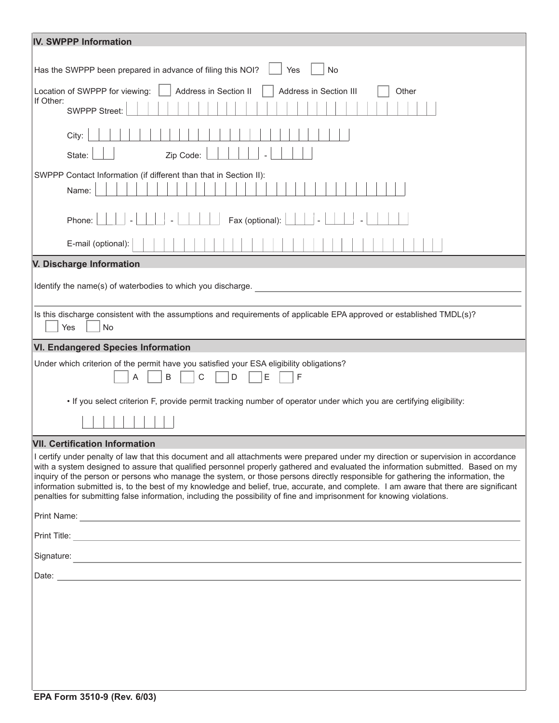| <b>IV. SWPPP Information</b>                                                                                                                                                                                                                                                                                                                                                                                                                                                                                                                                                                                                                                                   |  |  |
|--------------------------------------------------------------------------------------------------------------------------------------------------------------------------------------------------------------------------------------------------------------------------------------------------------------------------------------------------------------------------------------------------------------------------------------------------------------------------------------------------------------------------------------------------------------------------------------------------------------------------------------------------------------------------------|--|--|
|                                                                                                                                                                                                                                                                                                                                                                                                                                                                                                                                                                                                                                                                                |  |  |
| Has the SWPPP been prepared in advance of filing this NOI?<br><b>No</b><br>Yes                                                                                                                                                                                                                                                                                                                                                                                                                                                                                                                                                                                                 |  |  |
| Location of SWPPP for viewing:<br>Address in Section II<br>Address in Section III<br>Other<br>If Other:                                                                                                                                                                                                                                                                                                                                                                                                                                                                                                                                                                        |  |  |
| <b>SWPPP Street:</b>                                                                                                                                                                                                                                                                                                                                                                                                                                                                                                                                                                                                                                                           |  |  |
| City:                                                                                                                                                                                                                                                                                                                                                                                                                                                                                                                                                                                                                                                                          |  |  |
| State:<br>Zip Code:                                                                                                                                                                                                                                                                                                                                                                                                                                                                                                                                                                                                                                                            |  |  |
| SWPPP Contact Information (if different than that in Section II):                                                                                                                                                                                                                                                                                                                                                                                                                                                                                                                                                                                                              |  |  |
| Name:                                                                                                                                                                                                                                                                                                                                                                                                                                                                                                                                                                                                                                                                          |  |  |
| Fax (optional):<br>Phone:                                                                                                                                                                                                                                                                                                                                                                                                                                                                                                                                                                                                                                                      |  |  |
| E-mail (optional):                                                                                                                                                                                                                                                                                                                                                                                                                                                                                                                                                                                                                                                             |  |  |
| V. Discharge Information                                                                                                                                                                                                                                                                                                                                                                                                                                                                                                                                                                                                                                                       |  |  |
| Identify the name(s) of waterbodies to which you discharge.                                                                                                                                                                                                                                                                                                                                                                                                                                                                                                                                                                                                                    |  |  |
|                                                                                                                                                                                                                                                                                                                                                                                                                                                                                                                                                                                                                                                                                |  |  |
| Is this discharge consistent with the assumptions and requirements of applicable EPA approved or established TMDL(s)?<br><b>No</b><br>Yes                                                                                                                                                                                                                                                                                                                                                                                                                                                                                                                                      |  |  |
| <b>VI. Endangered Species Information</b>                                                                                                                                                                                                                                                                                                                                                                                                                                                                                                                                                                                                                                      |  |  |
| Under which criterion of the permit have you satisfied your ESA eligibility obligations?<br>E<br>F<br>B<br>C<br>D<br>A                                                                                                                                                                                                                                                                                                                                                                                                                                                                                                                                                         |  |  |
| . If you select criterion F, provide permit tracking number of operator under which you are certifying eligibility:                                                                                                                                                                                                                                                                                                                                                                                                                                                                                                                                                            |  |  |
|                                                                                                                                                                                                                                                                                                                                                                                                                                                                                                                                                                                                                                                                                |  |  |
| <b>VII. Certification Information</b>                                                                                                                                                                                                                                                                                                                                                                                                                                                                                                                                                                                                                                          |  |  |
| I certify under penalty of law that this document and all attachments were prepared under my direction or supervision in accordance<br>with a system designed to assure that qualified personnel properly gathered and evaluated the information submitted. Based on my<br>inquiry of the person or persons who manage the system, or those persons directly responsible for gathering the information, the<br>information submitted is, to the best of my knowledge and belief, true, accurate, and complete. I am aware that there are significant<br>penalties for submitting false information, including the possibility of fine and imprisonment for knowing violations. |  |  |
|                                                                                                                                                                                                                                                                                                                                                                                                                                                                                                                                                                                                                                                                                |  |  |
|                                                                                                                                                                                                                                                                                                                                                                                                                                                                                                                                                                                                                                                                                |  |  |
|                                                                                                                                                                                                                                                                                                                                                                                                                                                                                                                                                                                                                                                                                |  |  |
|                                                                                                                                                                                                                                                                                                                                                                                                                                                                                                                                                                                                                                                                                |  |  |
|                                                                                                                                                                                                                                                                                                                                                                                                                                                                                                                                                                                                                                                                                |  |  |
|                                                                                                                                                                                                                                                                                                                                                                                                                                                                                                                                                                                                                                                                                |  |  |
|                                                                                                                                                                                                                                                                                                                                                                                                                                                                                                                                                                                                                                                                                |  |  |
|                                                                                                                                                                                                                                                                                                                                                                                                                                                                                                                                                                                                                                                                                |  |  |
|                                                                                                                                                                                                                                                                                                                                                                                                                                                                                                                                                                                                                                                                                |  |  |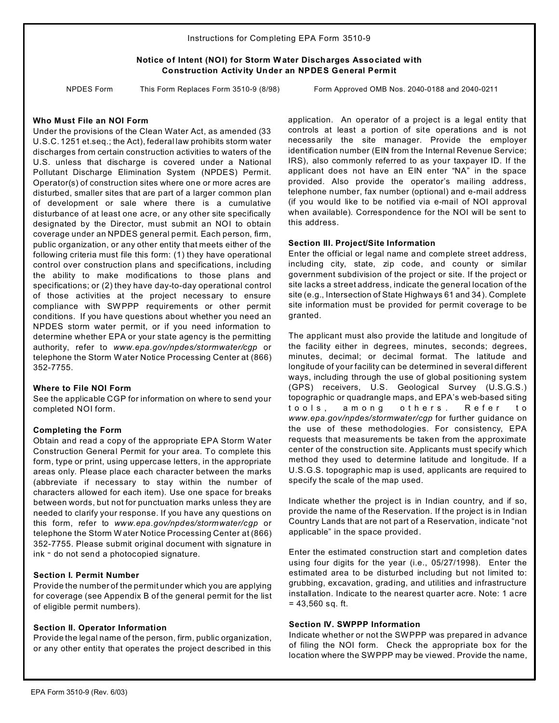Instructions for Com pleting EPA Form 3510-9

## **Notice of Intent (NOI) for Storm Water Discharges Associated with Construction Activity Under an NPDES General Permit**

NPDES Form This Form Replaces Form 3510-9 (8/98) Form Approved OMB Nos. 2040-0188 and 2040-0211

## **Who Must File an NOI Form**

Under the provisions of the Clean Water Act, as amended (33 U.S.C. 1251 et.seq.; the Act), federal law prohibits storm water discharges from certain construction activities to waters of the U.S. unless that discharge is covered under a National Pollutant Discharge Elimination System (NPDES) Permit. Operator(s) of construction sites where one or more acres are disturbed, smaller sites that are part of a larger common plan of development or sale where there is a cumulative disturbance of at least one acre, or any other site specifically designated by the Director, must submit an NOI to obtain coverage under an NPDES general permit. Each person, firm, public organization, or any other entity that meets either of the following criteria must file this form: (1) they have operational control over construction plans and specifications, including the ability to make modifications to those plans and specifications; or (2) they have day-to-day operational control of those activities at the project necessary to ensure compliance with SWPPP requirements or other permit conditions. If you have questions about whether you need an NPDES storm water permit, or if you need information to determine whether EPA or your state agency is the permitting authority, refer to *www.epa.gov/npdes/stormwater/cgp* or telephone the Storm Water Notice Processing Center at (866) 352-7755.

#### **Where to File NOI Form**

See the applicable CGP for information on where to send your completed NOI form.

## **Completing the Form**

Obtain and read a copy of the appropriate EPA Storm Water Construction General Permit for your area. To complete this form, type or print, using uppercase letters, in the appropriate areas only. Please place each character between the marks (abbreviate if necessary to stay within the number of characters allowed for each item). Use one space for breaks between words, but not for punctuation marks unless they are needed to clarify your response. If you have any questions on this form, refer to *www.epa.gov/npdes/stormwater/cgp* or telephone the Storm Water Notice Processing Center at (866) 352-7755. Please submit original document with signature in  $ink - do$  not send a photocopied signature.

#### **Section I. Permit Number**

Provide the number of the permit under which you are applying for coverage (see Appendix B of the general permit for the list of eligible permit numbers).

## **Section II. Operator Information**

Provide the legal name of the person, firm, public organization, or any other entity that operates the project described in this application. An operator of a project is a legal entity that controls at least a portion of site operations and is not necessarily the site manager. Provide the employer identification number (EIN from the Internal Revenue Service; IRS), also commonly referred to as your taxpayer ID. If the applicant does not have an EIN enter "NA" in the space provided. Also provide the operator's mailing address, telephone number, fax number (optional) and e-mail address (if you would like to be notified via e-mail of NOI approval when available). Correspondence for the NOI will be sent to this address.

### **Section III. Project/Site Information**

Enter the official or legal name and complete street address, including city, state, zip code, and county or similar government subdivision of the project or site. If the project or site lacks a street address, indicate the general location of the site (e.g., Intersection of State Highways 61 and 34). Complete site information must be provided for permit coverage to be granted.

The applicant must also provide the latitude and longitude of the facility either in degrees, minutes, seconds; degrees, minutes, decimal; or decimal format. The latitude and longitude of your facility can be determined in several different ways, including through the use of global positioning system (GPS) receivers, U.S. Geological Survey (U.S.G.S.) topographic or quadrangle maps, and EPA's web-based siting tools, among others. Refer to *www.epa.gov/npdes/stormwater/cgp* for further guidance on the use of these methodologies. For consistency, EPA requests that measurements be taken from the approximate center of the construction site. Applicants must specify which method they used to determine latitude and longitude. If a U.S.G.S. topographic map is used, applicants are required to specify the scale of the map used.

Indicate whether the project is in Indian country, and if so, provide the name of the Reservation. If the project is in Indian Country Lands that are not part of a Reservation, indicate "not applicable" in the space provided.

Enter the estimated construction start and completion dates using four digits for the year (i.e., 05/27/1998). Enter the estimated area to be disturbed including but not limited to: grubbing, excavation, grading, and utilities and infrastructure installation. Indicate to the nearest quarter acre. Note: 1 acre  $= 43,560$  sq. ft.

#### **Section IV. SWPPP Information**

Indicate whether or not the SWPPP was prepared in advance of filing the NOI form. Check the appropriate box for the location where the SWPPP may be viewed. Provide the name,